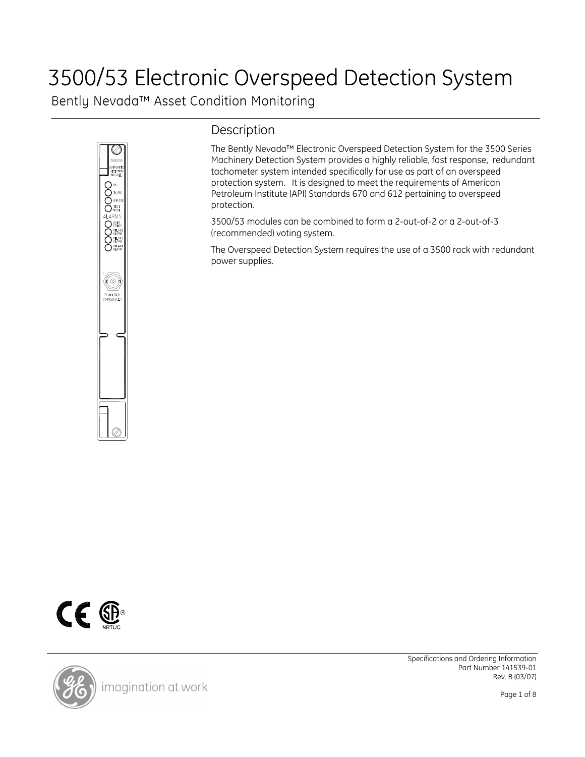## 3500/53 Electronic Overspeed Detection System

Bently Nevada™ Asset Condition Monitoring



## Description

The Bently Nevada™ Electronic Overspeed Detection System for the 3500 Series Machinery Detection System provides a highly reliable, fast response, redundant tachometer system intended specifically for use as part of an overspeed protection system. It is designed to meet the requirements of American Petroleum Institute (API) Standards 670 and 612 pertaining to overspeed protection.

3500/53 modules can be combined to form a 2-out-of-2 or a 2-out-of-3 (recommended) voting system.

The Overspeed Detection System requires the use of a 3500 rack with redundant power supplies.



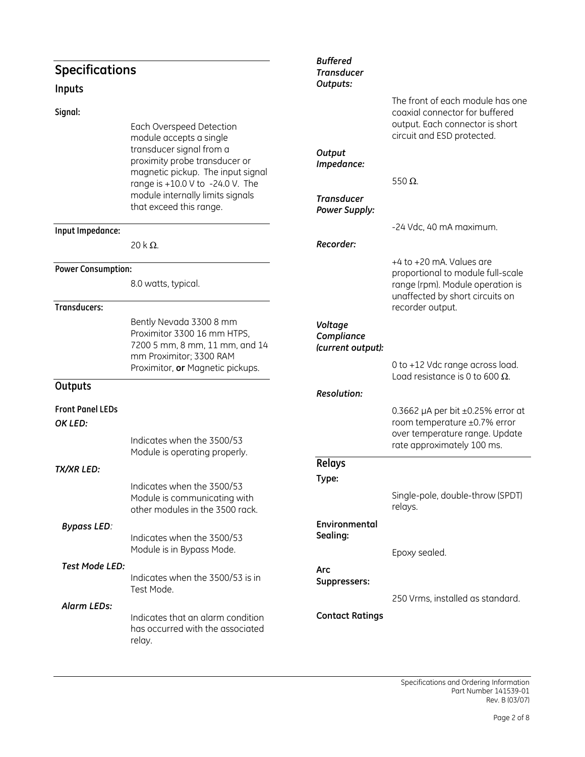## Specifications Inputs Signal: Each Overspeed Detection module accepts a single transducer signal from a proximity probe transducer or magnetic pickup. The input signal range is +10.0 V to -24.0 V. The module internally limits signals that exceed this range. Input Impedance: 20 k $\Omega$ . Power Consumption: 8.0 watts, typical. Transducers: Bently Nevada 3300 8 mm Proximitor 3300 16 mm HTPS, 7200 5 mm, 8 mm, 11 mm, and 14 mm Proximitor; 3300 RAM Proximitor, or Magnetic pickups. **Outputs** Front Panel LEDs OK LED: Indicates when the 3500/53 Module is operating properly. TX/XR LED: Indicates when the 3500/53 Module is communicating with other modules in the 3500 rack. Bypass LED: Indicates when the 3500/53 Module is in Bypass Mode. Test Mode LED: Indicates when the 3500/53 is in Test Mode. Alarm LEDs: Indicates that an alarm condition has occurred with the associated relay. Buffered **Transducer** Outputs: The front of each module has one coaxial connector for buffered output. Each connector is short circuit and ESD protected. **Output** Impedance: 550 Ω. **Transducer** Power Supply: -24 Vdc, 40 mA maximum. Recorder: +4 to +20 mA. Values are proportional to module full-scale range (rpm). Module operation is unaffected by short circuits on recorder output. Voltage Compliance (current output): 0 to +12 Vdc range across load. Load resistance is 0 to 600  $\Omega$ . Resolution: 0.3662  $\mu$ A per bit  $\pm$ 0.25% error at room temperature ±0.7% error over temperature range. Update rate approximately 100 ms. Relays Type: Single-pole, double-throw (SPDT) relays. Environmental Sealing: Epoxy sealed. Arc Suppressers: 250 Vrms, installed as standard. Contact Ratings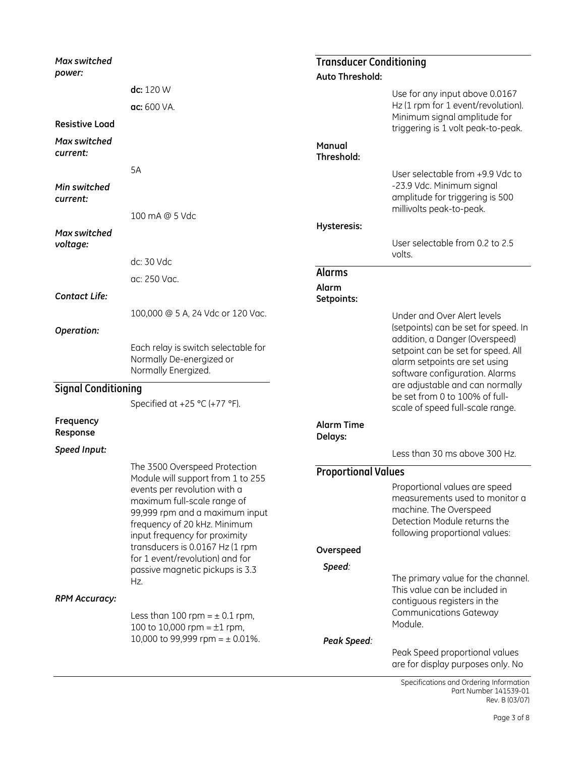| Max switched               |                                                                                                                                                                                                                                                                           | <b>Transducer Conditioning</b> |                                                                                                                                                             |
|----------------------------|---------------------------------------------------------------------------------------------------------------------------------------------------------------------------------------------------------------------------------------------------------------------------|--------------------------------|-------------------------------------------------------------------------------------------------------------------------------------------------------------|
| power:                     |                                                                                                                                                                                                                                                                           | <b>Auto Threshold:</b>         |                                                                                                                                                             |
|                            | dc: 120 W                                                                                                                                                                                                                                                                 |                                | Use for any input above 0.0167                                                                                                                              |
|                            | ac: 600 VA.                                                                                                                                                                                                                                                               |                                | Hz (1 rpm for 1 event/revolution).<br>Minimum signal amplitude for                                                                                          |
| <b>Resistive Load</b>      |                                                                                                                                                                                                                                                                           |                                | triggering is 1 volt peak-to-peak.                                                                                                                          |
| Max switched<br>current:   |                                                                                                                                                                                                                                                                           | Manual<br>Threshold:           |                                                                                                                                                             |
|                            | 5A                                                                                                                                                                                                                                                                        |                                | User selectable from +9.9 Vdc to                                                                                                                            |
| Min switched<br>current:   |                                                                                                                                                                                                                                                                           |                                | -23.9 Vdc. Minimum signal<br>amplitude for triggering is 500<br>millivolts peak-to-peak.                                                                    |
|                            | 100 mA @ 5 Vdc                                                                                                                                                                                                                                                            | Hysteresis:                    |                                                                                                                                                             |
| Max switched<br>voltage:   |                                                                                                                                                                                                                                                                           |                                | User selectable from 0.2 to 2.5                                                                                                                             |
|                            | dc: 30 Vdc                                                                                                                                                                                                                                                                |                                | volts.                                                                                                                                                      |
|                            | ac: 250 Vac.                                                                                                                                                                                                                                                              | <b>Alarms</b>                  |                                                                                                                                                             |
| <b>Contact Life:</b>       |                                                                                                                                                                                                                                                                           | Alarm<br>Setpoints:            |                                                                                                                                                             |
|                            | 100,000 @ 5 A, 24 Vdc or 120 Vac.                                                                                                                                                                                                                                         |                                | Under and Over Alert levels                                                                                                                                 |
| Operation:                 |                                                                                                                                                                                                                                                                           |                                | (setpoints) can be set for speed. In                                                                                                                        |
|                            | Each relay is switch selectable for<br>Normally De-energized or<br>Normally Energized.                                                                                                                                                                                    |                                | addition, a Danger (Overspeed)<br>setpoint can be set for speed. All<br>alarm setpoints are set using<br>software configuration. Alarms                     |
| <b>Signal Conditioning</b> |                                                                                                                                                                                                                                                                           |                                | are adjustable and can normally                                                                                                                             |
|                            | Specified at +25 °C (+77 °F).                                                                                                                                                                                                                                             |                                | be set from 0 to 100% of full-<br>scale of speed full-scale range.                                                                                          |
| Frequency<br>Response      |                                                                                                                                                                                                                                                                           | <b>Alarm Time</b><br>Delays:   |                                                                                                                                                             |
| Speed Input:               |                                                                                                                                                                                                                                                                           |                                | Less than 30 ms above 300 Hz.                                                                                                                               |
|                            | The 3500 Overspeed Protection                                                                                                                                                                                                                                             | <b>Proportional Values</b>     |                                                                                                                                                             |
|                            | Module will support from 1 to 255<br>events per revolution with a<br>maximum full-scale range of<br>99,999 rpm and a maximum input<br>frequency of 20 kHz. Minimum<br>input frequency for proximity<br>transducers is 0.0167 Hz (1 rpm<br>for 1 event/revolution) and for | Overspeed                      | Proportional values are speed<br>measurements used to monitor a<br>machine. The Overspeed<br>Detection Module returns the<br>following proportional values: |
|                            | passive magnetic pickups is 3.3                                                                                                                                                                                                                                           | Speed:                         |                                                                                                                                                             |
| <b>RPM Accuracy:</b>       | Hz.<br>Less than 100 rpm = $\pm$ 0.1 rpm,<br>100 to 10,000 rpm = $\pm 1$ rpm,<br>10,000 to 99,999 rpm = $\pm$ 0.01%.                                                                                                                                                      |                                | The primary value for the channel.<br>This value can be included in<br>contiguous registers in the<br><b>Communications Gateway</b><br>Module.              |
|                            |                                                                                                                                                                                                                                                                           | Peak Speed:                    | Peak Speed proportional values<br>are for display purposes only. No                                                                                         |

Specifications and Ordering Information Part Number 141539-01 Rev. B (03/07)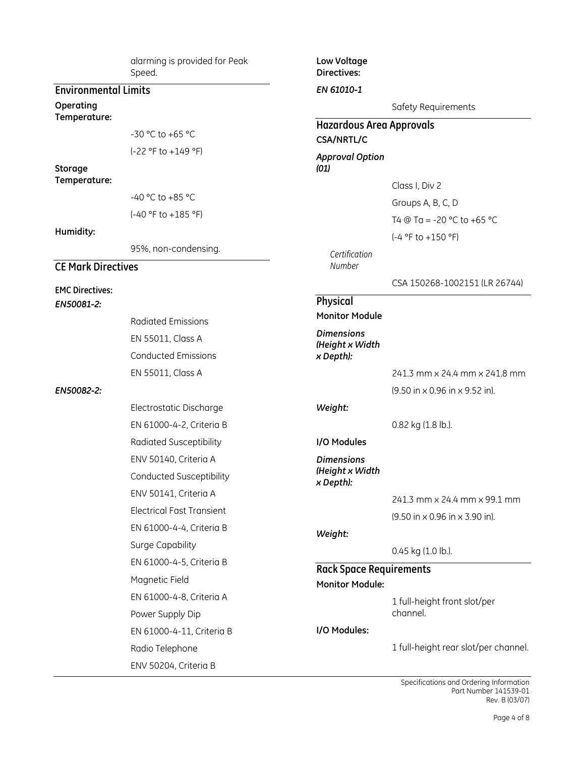alarming is provided for Peak Speed. Environmental Limits Temperature: -30 °C to +65 °C (-22 °F to +149 °F) Temperature: -40 °C to +85 °C (-40 °F to +185 °F) 95%, non-condensing. CE Mark Directives EMC Directives: EN50081-2: Radiated Emissions EN 55011, Class A Conducted Emissions EN 55011, Class A EN50082-2: Electrostatic Discharge EN 61000-4-2, Criteria B Radiated Susceptibility ENV 50140, Criteria A Conducted Susceptibility ENV 50141, Criteria A Electrical Fast Transient EN 61000-4-4, Criteria B Surge Capability EN 61000-4-5, Criteria B Magnetic Field EN 61000-4-8, Criteria A Power Supply Dip EN 61000-4-11, Criteria B Radio Telephone ENV 50204, Criteria B Low Voltage Directives: EN 61010-1 Safety Requirements Hazardous Area Approvals CSA/NRTL/C Approval Option (01) Class I, Div 2 Groups A, B, C, D T4  $@$  Ta = -20 °C to +65 °C (-4 °F to +150 °F) Certification Number CSA 150268-1002151 (LR 26744) Physical Monitor Module **Dimensions** (Height x Width x Depth): 241.3 mm x 24.4 mm x 241.8 mm (9.50 in x 0.96 in x 9.52 in). Weight: 0.82 kg (1.8 lb.). I/O Modules Dimensions (Height x Width x Depth): 241.3 mm x 24.4 mm x 99.1 mm (9.50 in x 0.96 in x 3.90 in). Weight: 0.45 kg (1.0 lb.). Rack Space Requirements Monitor Module: 1 full-height front slot/per channel. I/O Modules: 1 full-height rear slot/per channel.

Operating

Storage

Humidity: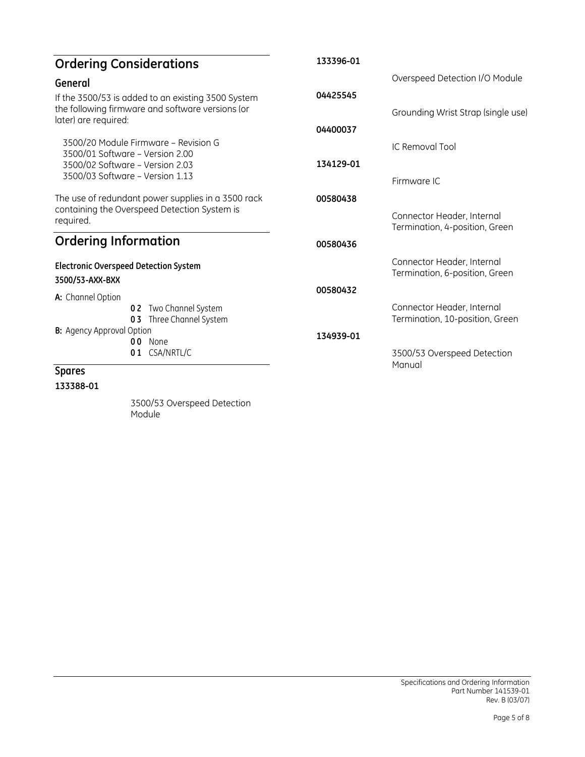| <b>Ordering Considerations</b>                                                                                                 | 133396-01                                                    |
|--------------------------------------------------------------------------------------------------------------------------------|--------------------------------------------------------------|
| General                                                                                                                        | Overspeed Detection I/O Module                               |
| If the 3500/53 is added to an existing 3500 System<br>the following firmware and software versions (or<br>later) are required: | 04425545<br>Grounding Wrist Strap (single use)               |
|                                                                                                                                | 04400037                                                     |
| 3500/20 Module Firmware - Revision G<br>3500/01 Software - Version 2.00                                                        | IC Removal Tool                                              |
| 3500/02 Software - Version 2.03<br>3500/03 Software – Version 1.13                                                             | 134129-01                                                    |
|                                                                                                                                | Firmware IC                                                  |
| The use of redundant power supplies in a 3500 rack                                                                             | 00580438                                                     |
| containing the Overspeed Detection System is<br>required.                                                                      | Connector Header, Internal<br>Termination, 4-position, Green |
| <b>Ordering Information</b>                                                                                                    | 00580436                                                     |
| <b>Electronic Overspeed Detection System</b><br>3500/53-AXX-BXX                                                                | Connector Header, Internal<br>Termination, 6-position, Green |
|                                                                                                                                | 00580432                                                     |
| A: Channel Option<br>Two Channel System<br>02                                                                                  | Connector Header, Internal                                   |
| Three Channel System<br>03                                                                                                     | Termination, 10-position, Green                              |
| <b>B:</b> Agency Approval Option<br>00 None                                                                                    | 134939-01                                                    |
| CSA/NRTL/C<br>01                                                                                                               | 3500/53 Overspeed Detection<br>Manual                        |
| <b>Spares</b>                                                                                                                  |                                                              |

133388-01

3500/53 Overspeed Detection Module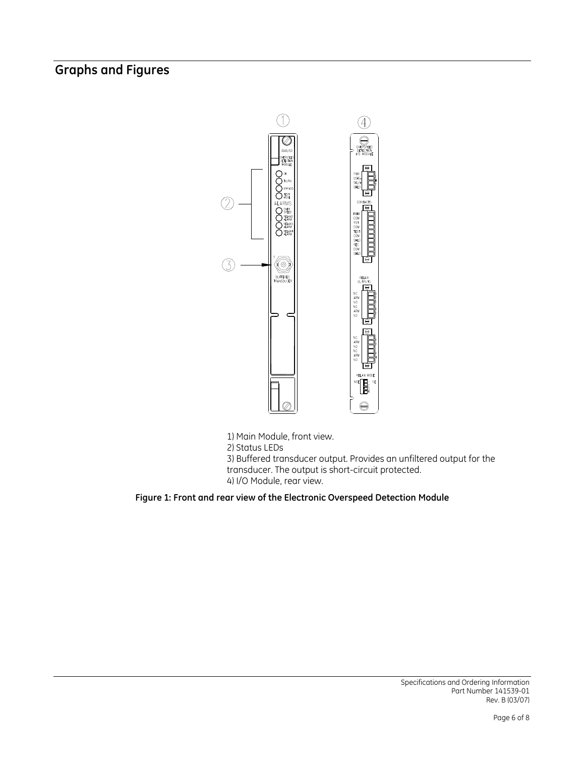## Graphs and Figures



1) Main Module, front view. 2) Status LEDs 3) Buffered transducer output. Provides an unfiltered output for the transducer. The output is short-circuit protected. 4) I/O Module, rear view.

Figure 1: Front and rear view of the Electronic Overspeed Detection Module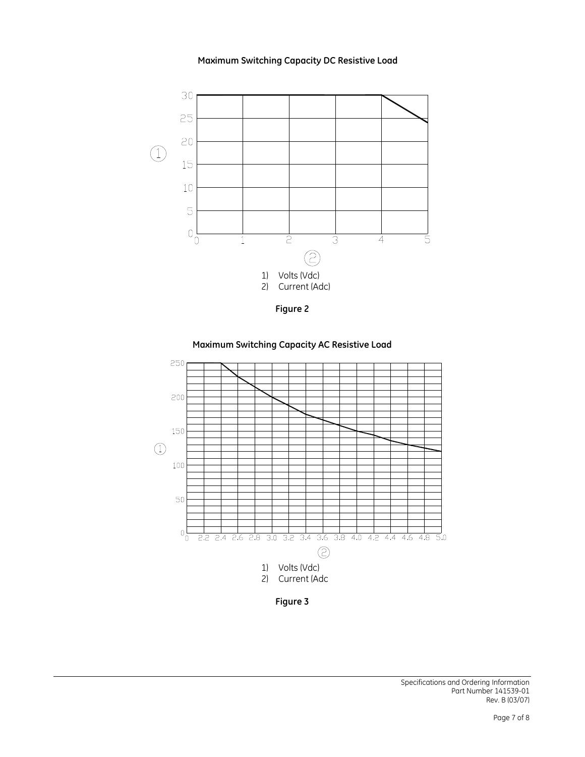







Maximum Switching Capacity AC Resistive Load

Figure 3